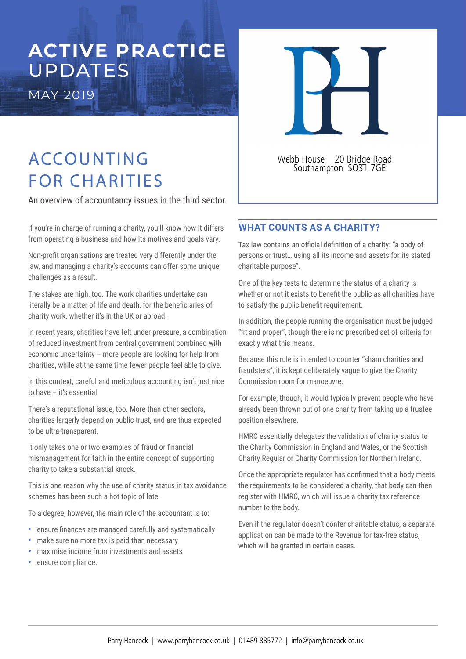# **ACTIVE PRACTICE**  UPDATES

MAY 2019



## ACCOUNTING FOR CHARITIES

An overview of accountancy issues in the third sector.

If you're in charge of running a charity, you'll know how it differs from operating a business and how its motives and goals vary.

Non-profit organisations are treated very differently under the law, and managing a charity's accounts can offer some unique challenges as a result.

The stakes are high, too. The work charities undertake can literally be a matter of life and death, for the beneficiaries of charity work, whether it's in the UK or abroad.

In recent years, charities have felt under pressure, a combination of reduced investment from central government combined with economic uncertainty – more people are looking for help from charities, while at the same time fewer people feel able to give.

In this context, careful and meticulous accounting isn't just nice to have – it's essential.

There's a reputational issue, too. More than other sectors, charities largerly depend on public trust, and are thus expected to be ultra-transparent.

It only takes one or two examples of fraud or financial mismanagement for faith in the entire concept of supporting charity to take a substantial knock.

This is one reason why the use of charity status in tax avoidance schemes has been such a hot topic of late.

To a degree, however, the main role of the accountant is to:

- ensure inances are managed carefully and systematically
- make sure no more tax is paid than necessary
- maximise income from investments and assets
- ensure compliance.

Webb House 20 Bridge Road Southampton SO31 7GE

## **WHAT COUNTS AS A CHARITY?**

Tax law contains an official definition of a charity: "a body of persons or trust… using all its income and assets for its stated charitable purpose".

One of the key tests to determine the status of a charity is whether or not it exists to benefit the public as all charities have to satisfy the public benefit requirement.

In addition, the people running the organisation must be judged "fit and proper", though there is no prescribed set of criteria for exactly what this means.

Because this rule is intended to counter "sham charities and fraudsters", it is kept deliberately vague to give the Charity Commission room for manoeuvre.

For example, though, it would typically prevent people who have already been thrown out of one charity from taking up a trustee position elsewhere.

HMRC essentially delegates the validation of charity status to the Charity Commission in England and Wales, or the Scottish Charity Regular or Charity Commission for Northern Ireland.

Once the appropriate regulator has confirmed that a body meets the requirements to be considered a charity, that body can then register with HMRC, which will issue a charity tax reference number to the body.

Even if the regulator doesn't confer charitable status, a separate application can be made to the Revenue for tax-free status, which will be granted in certain cases.